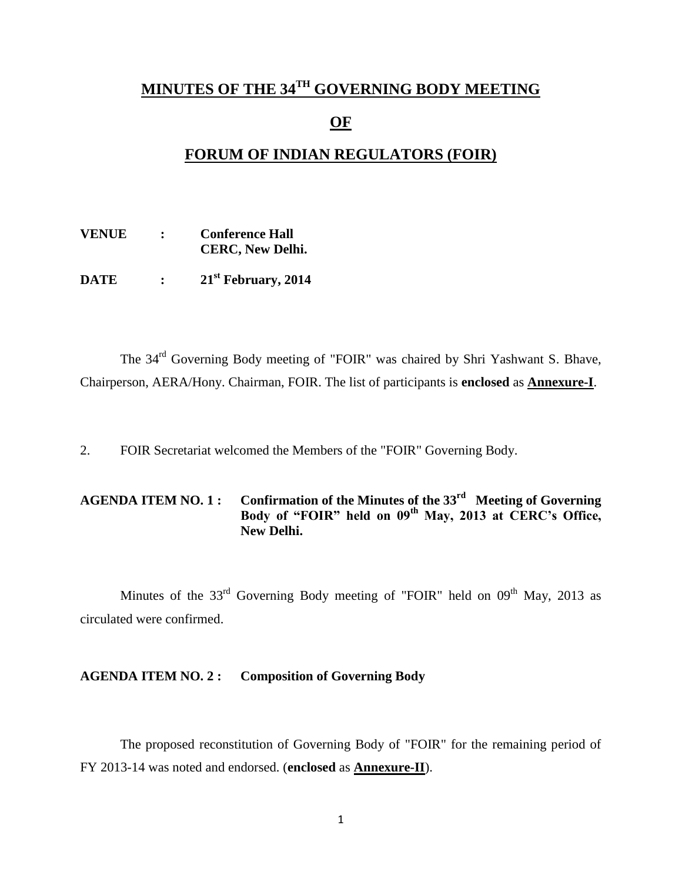## **MINUTES OF THE 34 TH GOVERNING BODY MEETING**

### **OF**

## **FORUM OF INDIAN REGULATORS (FOIR)**

| <b>VENUE</b> |                | <b>Conference Hall</b><br><b>CERC, New Delhi.</b> |
|--------------|----------------|---------------------------------------------------|
| <b>DATE</b>  | $\ddot{\cdot}$ | 21 <sup>st</sup> February, 2014                   |

The 34rd Governing Body meeting of "FOIR" was chaired by Shri Yashwant S. Bhave, Chairperson, AERA/Hony. Chairman, FOIR. The list of participants is **enclosed** as **Annexure-I**.

2. FOIR Secretariat welcomed the Members of the "FOIR" Governing Body.

### **AGENDA ITEM NO. 1 : Confirmation of the Minutes of the 33rd Meeting of Governing Body of "FOIR" held on 09th May, 2013 at CERC's Office, New Delhi.**

Minutes of the  $33<sup>rd</sup>$  Governing Body meeting of "FOIR" held on  $09<sup>th</sup>$  May, 2013 as circulated were confirmed.

### **AGENDA ITEM NO. 2 : Composition of Governing Body**

The proposed reconstitution of Governing Body of "FOIR" for the remaining period of FY 2013-14 was noted and endorsed. (**enclosed** as **Annexure-II**).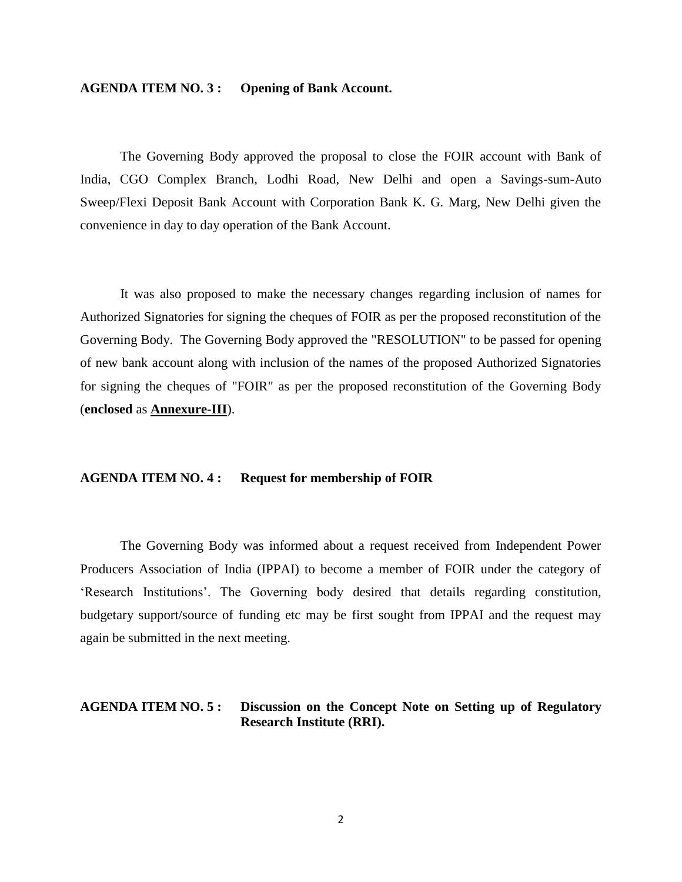### **AGENDA ITEM NO. 3 : Opening of Bank Account.**

The Governing Body approved the proposal to close the FOIR account with Bank of India, CGO Complex Branch, Lodhi Road, New Delhi and open a Savings-sum-Auto Sweep/Flexi Deposit Bank Account with Corporation Bank K. G. Marg, New Delhi given the convenience in day to day operation of the Bank Account.

It was also proposed to make the necessary changes regarding inclusion of names for Authorized Signatories for signing the cheques of FOIR as per the proposed reconstitution of the Governing Body. The Governing Body approved the "RESOLUTION" to be passed for opening of new bank account along with inclusion of the names of the proposed Authorized Signatories for signing the cheques of "FOIR" as per the proposed reconstitution of the Governing Body (**enclosed** as **Annexure-III**).

### **AGENDA ITEM NO. 4 : Request for membership of FOIR**

The Governing Body was informed about a request received from Independent Power Producers Association of India (IPPAI) to become a member of FOIR under the category of 'Research Institutions'. The Governing body desired that details regarding constitution, budgetary support/source of funding etc may be first sought from IPPAI and the request may again be submitted in the next meeting.

### **AGENDA ITEM NO. 5 : Discussion on the Concept Note on Setting up of Regulatory Research Institute (RRI).**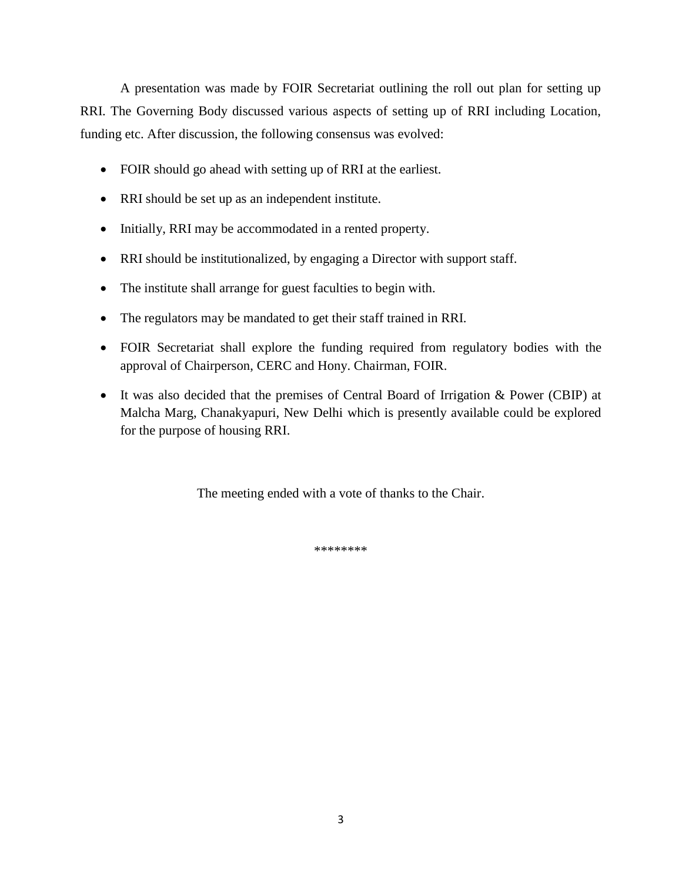A presentation was made by FOIR Secretariat outlining the roll out plan for setting up RRI. The Governing Body discussed various aspects of setting up of RRI including Location, funding etc. After discussion, the following consensus was evolved:

- FOIR should go ahead with setting up of RRI at the earliest.
- RRI should be set up as an independent institute.
- Initially, RRI may be accommodated in a rented property.
- RRI should be institutionalized, by engaging a Director with support staff.
- The institute shall arrange for guest faculties to begin with.
- The regulators may be mandated to get their staff trained in RRI.
- FOIR Secretariat shall explore the funding required from regulatory bodies with the approval of Chairperson, CERC and Hony. Chairman, FOIR.
- It was also decided that the premises of Central Board of Irrigation & Power (CBIP) at Malcha Marg, Chanakyapuri, New Delhi which is presently available could be explored for the purpose of housing RRI.

The meeting ended with a vote of thanks to the Chair.

\*\*\*\*\*\*\*\*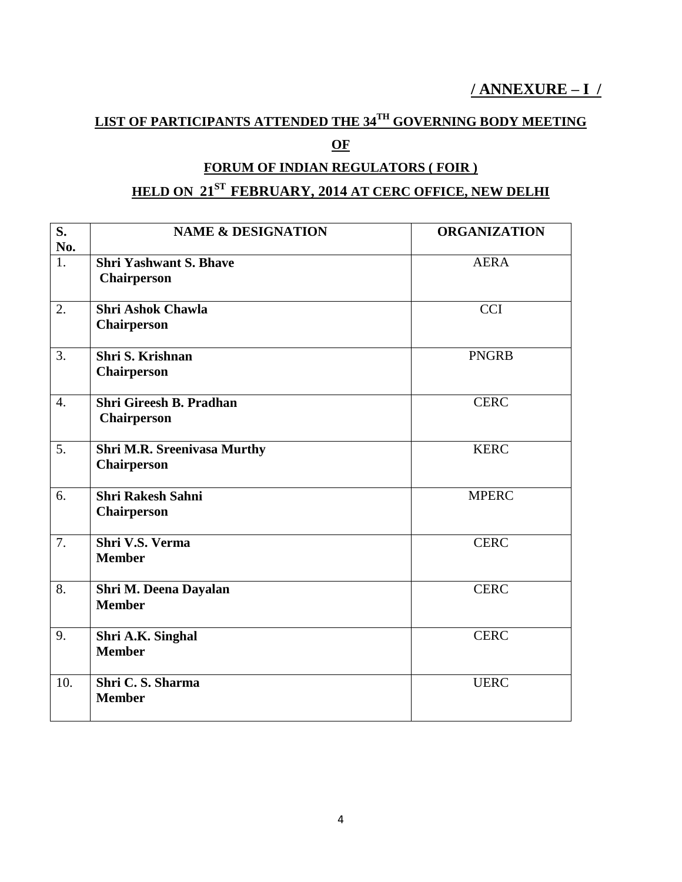# **/ ANNEXURE – I /**

# **LIST OF PARTICIPANTS ATTENDED THE 34TH GOVERNING BODY MEETING**

## **OF**

## **FORUM OF INDIAN REGULATORS ( FOIR )**

## **HELD ON 21ST FEBRUARY, 2014 AT CERC OFFICE, NEW DELHI**

| S.               | <b>NAME &amp; DESIGNATION</b>      | <b>ORGANIZATION</b> |
|------------------|------------------------------------|---------------------|
| No.              |                                    |                     |
| $\overline{1}$ . | <b>Shri Yashwant S. Bhave</b>      | <b>AERA</b>         |
|                  | <b>Chairperson</b>                 |                     |
| 2.               | <b>Shri Ashok Chawla</b>           | <b>CCI</b>          |
|                  | <b>Chairperson</b>                 |                     |
| 3.               | Shri S. Krishnan                   | <b>PNGRB</b>        |
|                  | <b>Chairperson</b>                 |                     |
| $\overline{4}$ . | <b>Shri Gireesh B. Pradhan</b>     | <b>CERC</b>         |
|                  | <b>Chairperson</b>                 |                     |
| 5.               | <b>Shri M.R. Sreenivasa Murthy</b> | <b>KERC</b>         |
|                  | <b>Chairperson</b>                 |                     |
| 6.               | <b>Shri Rakesh Sahni</b>           | <b>MPERC</b>        |
|                  | <b>Chairperson</b>                 |                     |
| 7.               | Shri V.S. Verma                    | <b>CERC</b>         |
|                  | <b>Member</b>                      |                     |
| 8.               | Shri M. Deena Dayalan              | <b>CERC</b>         |
|                  | <b>Member</b>                      |                     |
| 9.               | Shri A.K. Singhal                  | <b>CERC</b>         |
|                  | <b>Member</b>                      |                     |
| 10.              | Shri C.S. Sharma                   | <b>UERC</b>         |
|                  | <b>Member</b>                      |                     |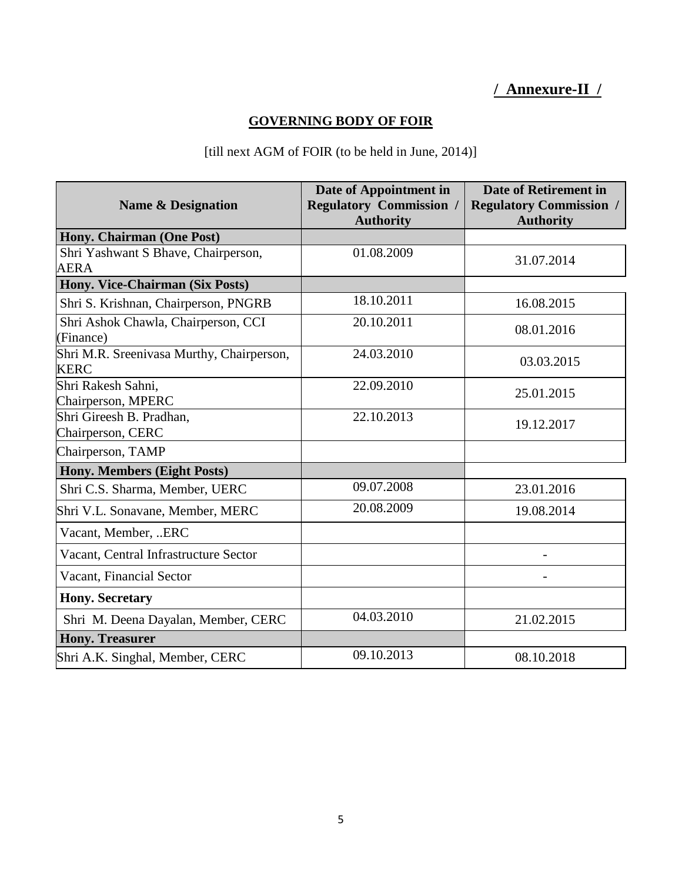# **/ Annexure-II /**

## **GOVERNING BODY OF FOIR**

## [till next AGM of FOIR (to be held in June, 2014)]

| <b>Name &amp; Designation</b>                            | Date of Appointment in<br><b>Regulatory Commission /</b><br><b>Authority</b> | Date of Retirement in<br><b>Regulatory Commission /</b><br><b>Authority</b> |
|----------------------------------------------------------|------------------------------------------------------------------------------|-----------------------------------------------------------------------------|
| Hony. Chairman (One Post)                                |                                                                              |                                                                             |
| Shri Yashwant S Bhave, Chairperson,<br><b>AERA</b>       | 01.08.2009                                                                   | 31.07.2014                                                                  |
| Hony. Vice-Chairman (Six Posts)                          |                                                                              |                                                                             |
| Shri S. Krishnan, Chairperson, PNGRB                     | 18.10.2011                                                                   | 16.08.2015                                                                  |
| Shri Ashok Chawla, Chairperson, CCI<br>(Finance)         | 20.10.2011                                                                   | 08.01.2016                                                                  |
| Shri M.R. Sreenivasa Murthy, Chairperson,<br><b>KERC</b> | 24.03.2010                                                                   | 03.03.2015                                                                  |
| Shri Rakesh Sahni,<br>Chairperson, MPERC                 | 22.09.2010                                                                   | 25.01.2015                                                                  |
| Shri Gireesh B. Pradhan,<br>Chairperson, CERC            | 22.10.2013                                                                   | 19.12.2017                                                                  |
| Chairperson, TAMP                                        |                                                                              |                                                                             |
| Hony. Members (Eight Posts)                              |                                                                              |                                                                             |
| Shri C.S. Sharma, Member, UERC                           | 09.07.2008                                                                   | 23.01.2016                                                                  |
| Shri V.L. Sonavane, Member, MERC                         | 20.08.2009                                                                   | 19.08.2014                                                                  |
| Vacant, Member, ERC                                      |                                                                              |                                                                             |
| Vacant, Central Infrastructure Sector                    |                                                                              |                                                                             |
| Vacant, Financial Sector                                 |                                                                              |                                                                             |
| <b>Hony. Secretary</b>                                   |                                                                              |                                                                             |
| Shri M. Deena Dayalan, Member, CERC                      | 04.03.2010                                                                   | 21.02.2015                                                                  |
| <b>Hony. Treasurer</b>                                   |                                                                              |                                                                             |
| Shri A.K. Singhal, Member, CERC                          | 09.10.2013                                                                   | 08.10.2018                                                                  |